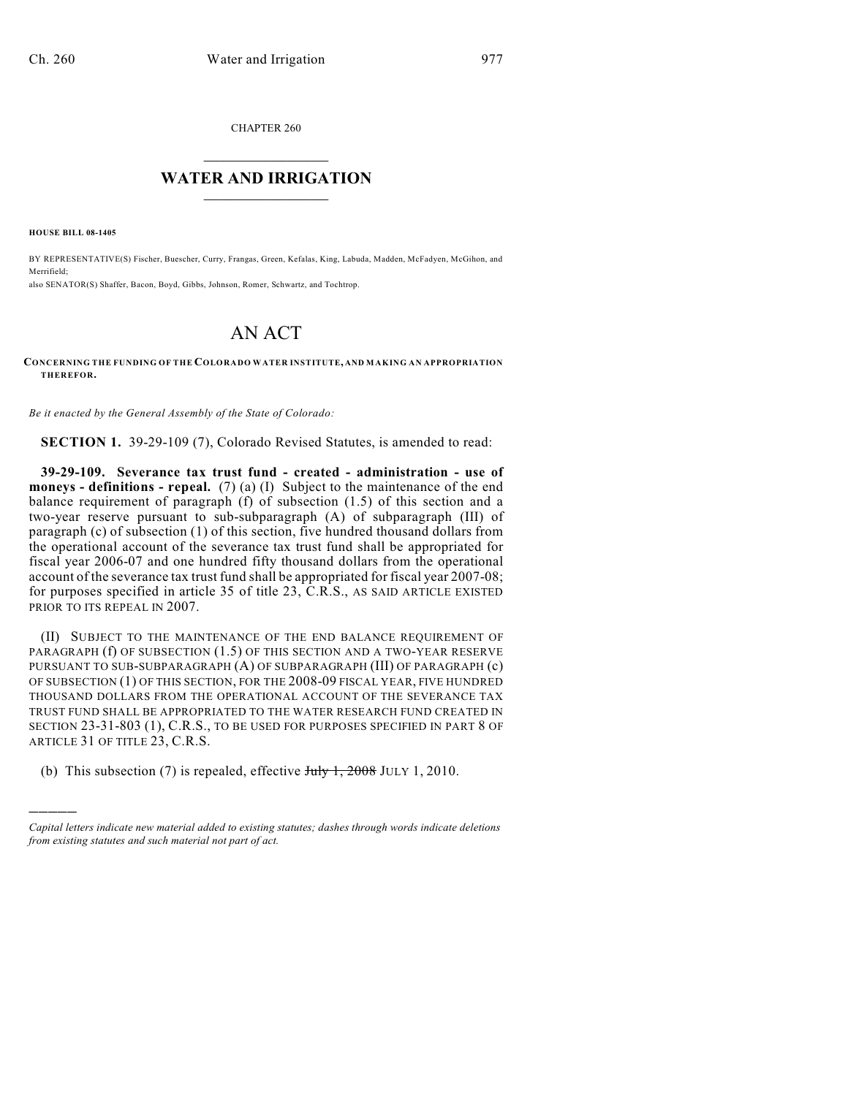CHAPTER 260

## $\mathcal{L}_\text{max}$  . The set of the set of the set of the set of the set of the set of the set of the set of the set of the set of the set of the set of the set of the set of the set of the set of the set of the set of the set **WATER AND IRRIGATION**  $\_$   $\_$

**HOUSE BILL 08-1405**

)))))

BY REPRESENTATIVE(S) Fischer, Buescher, Curry, Frangas, Green, Kefalas, King, Labuda, Madden, McFadyen, McGihon, and Merrifield; also SENATOR(S) Shaffer, Bacon, Boyd, Gibbs, Johnson, Romer, Schwartz, and Tochtrop.

## AN ACT

**CONCERNING THE FUNDING OF THE COLORADO WATER INSTITUTE, AND MAKING AN APPROPRIATION THEREFOR.**

*Be it enacted by the General Assembly of the State of Colorado:*

**SECTION 1.** 39-29-109 (7), Colorado Revised Statutes, is amended to read:

**39-29-109. Severance tax trust fund - created - administration - use of moneys - definitions - repeal.** (7) (a) (I) Subject to the maintenance of the end balance requirement of paragraph (f) of subsection (1.5) of this section and a two-year reserve pursuant to sub-subparagraph (A) of subparagraph (III) of paragraph (c) of subsection (1) of this section, five hundred thousand dollars from the operational account of the severance tax trust fund shall be appropriated for fiscal year 2006-07 and one hundred fifty thousand dollars from the operational account of the severance tax trust fund shall be appropriated for fiscal year 2007-08; for purposes specified in article 35 of title 23, C.R.S., AS SAID ARTICLE EXISTED PRIOR TO ITS REPEAL IN 2007.

(II) SUBJECT TO THE MAINTENANCE OF THE END BALANCE REQUIREMENT OF PARAGRAPH (f) OF SUBSECTION (1.5) OF THIS SECTION AND A TWO-YEAR RESERVE PURSUANT TO SUB-SUBPARAGRAPH (A) OF SUBPARAGRAPH (III) OF PARAGRAPH (c) OF SUBSECTION (1) OF THIS SECTION, FOR THE 2008-09 FISCAL YEAR, FIVE HUNDRED THOUSAND DOLLARS FROM THE OPERATIONAL ACCOUNT OF THE SEVERANCE TAX TRUST FUND SHALL BE APPROPRIATED TO THE WATER RESEARCH FUND CREATED IN SECTION 23-31-803 (1), C.R.S., TO BE USED FOR PURPOSES SPECIFIED IN PART 8 OF ARTICLE 31 OF TITLE 23, C.R.S.

(b) This subsection (7) is repealed, effective  $J_{\text{t}}$   $\rightarrow$  1, 2008 JULY 1, 2010.

*Capital letters indicate new material added to existing statutes; dashes through words indicate deletions from existing statutes and such material not part of act.*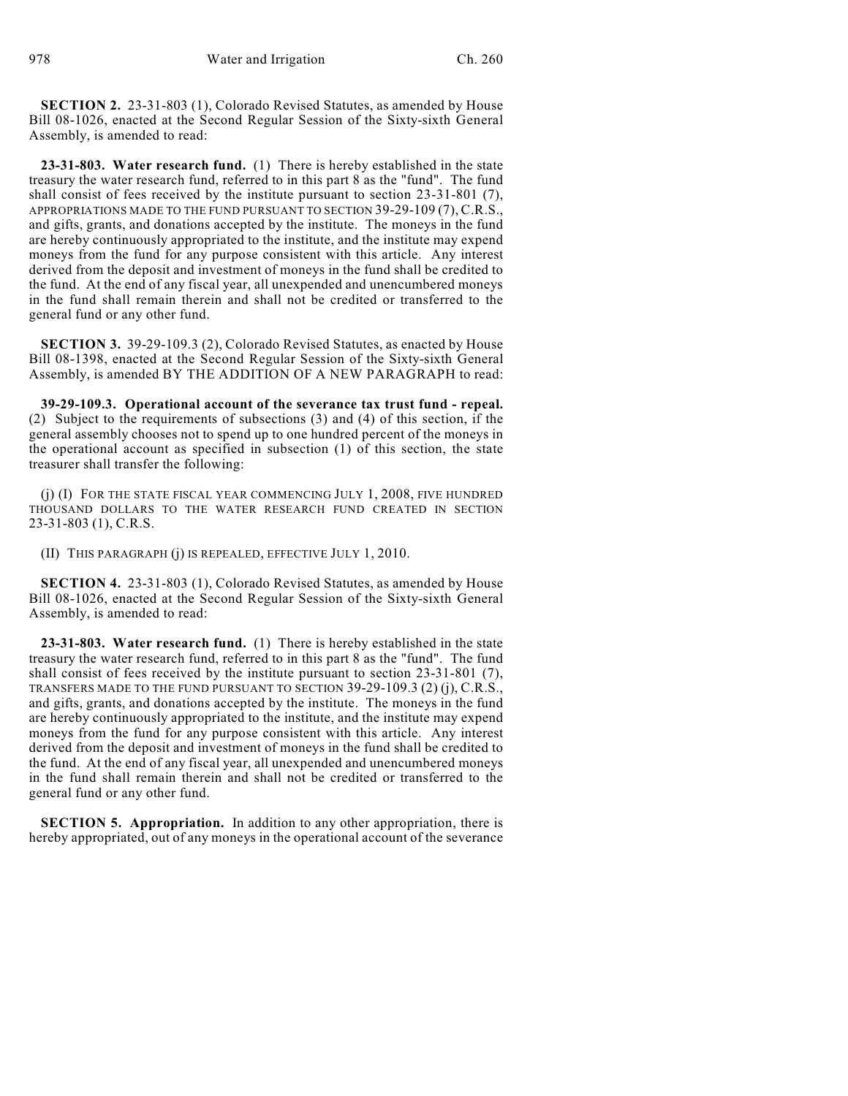**SECTION 2.** 23-31-803 (1), Colorado Revised Statutes, as amended by House Bill 08-1026, enacted at the Second Regular Session of the Sixty-sixth General Assembly, is amended to read:

**23-31-803. Water research fund.** (1) There is hereby established in the state treasury the water research fund, referred to in this part 8 as the "fund". The fund shall consist of fees received by the institute pursuant to section 23-31-801 (7), APPROPRIATIONS MADE TO THE FUND PURSUANT TO SECTION 39-29-109 (7), C.R.S., and gifts, grants, and donations accepted by the institute. The moneys in the fund are hereby continuously appropriated to the institute, and the institute may expend moneys from the fund for any purpose consistent with this article. Any interest derived from the deposit and investment of moneys in the fund shall be credited to the fund. At the end of any fiscal year, all unexpended and unencumbered moneys in the fund shall remain therein and shall not be credited or transferred to the general fund or any other fund.

**SECTION 3.** 39-29-109.3 (2), Colorado Revised Statutes, as enacted by House Bill 08-1398, enacted at the Second Regular Session of the Sixty-sixth General Assembly, is amended BY THE ADDITION OF A NEW PARAGRAPH to read:

**39-29-109.3. Operational account of the severance tax trust fund - repeal.** (2) Subject to the requirements of subsections (3) and (4) of this section, if the general assembly chooses not to spend up to one hundred percent of the moneys in the operational account as specified in subsection (1) of this section, the state treasurer shall transfer the following:

(j) (I) FOR THE STATE FISCAL YEAR COMMENCING JULY 1, 2008, FIVE HUNDRED THOUSAND DOLLARS TO THE WATER RESEARCH FUND CREATED IN SECTION 23-31-803 (1), C.R.S.

(II) THIS PARAGRAPH (j) IS REPEALED, EFFECTIVE JULY 1, 2010.

**SECTION 4.** 23-31-803 (1), Colorado Revised Statutes, as amended by House Bill 08-1026, enacted at the Second Regular Session of the Sixty-sixth General Assembly, is amended to read:

**23-31-803. Water research fund.** (1) There is hereby established in the state treasury the water research fund, referred to in this part 8 as the "fund". The fund shall consist of fees received by the institute pursuant to section 23-31-801 (7), TRANSFERS MADE TO THE FUND PURSUANT TO SECTION 39-29-109.3 (2) (j), C.R.S., and gifts, grants, and donations accepted by the institute. The moneys in the fund are hereby continuously appropriated to the institute, and the institute may expend moneys from the fund for any purpose consistent with this article. Any interest derived from the deposit and investment of moneys in the fund shall be credited to the fund. At the end of any fiscal year, all unexpended and unencumbered moneys in the fund shall remain therein and shall not be credited or transferred to the general fund or any other fund.

**SECTION 5. Appropriation.** In addition to any other appropriation, there is hereby appropriated, out of any moneys in the operational account of the severance